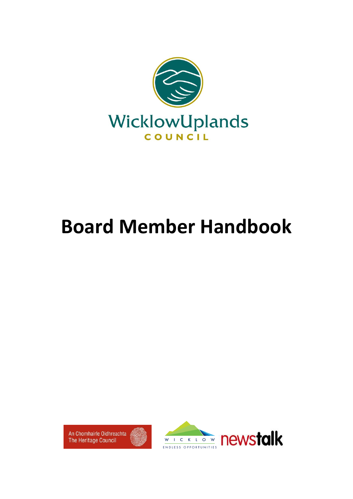

# **Board Member Handbook**



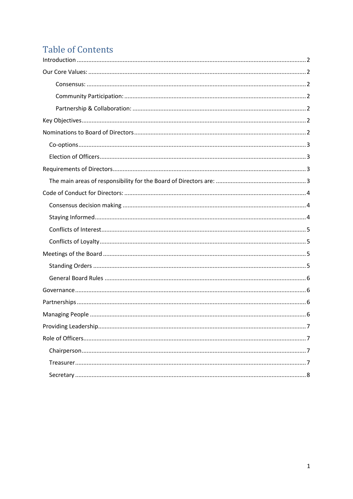# **Table of Contents**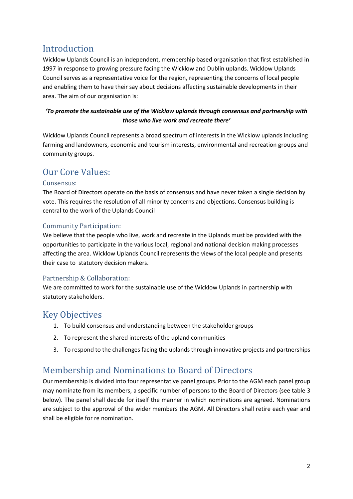## <span id="page-2-0"></span>Introduction

Wicklow Uplands Council is an independent, membership based organisation that first established in 1997 in response to growing pressure facing the Wicklow and Dublin uplands. Wicklow Uplands Council serves as a representative voice for the region, representing the concerns of local people and enabling them to have their say about decisions affecting sustainable developments in their area. The aim of our organisation is:

#### *'To promote the sustainable use of the Wicklow uplands through consensus and partnership with those who live work and recreate there'*

Wicklow Uplands Council represents a broad spectrum of interests in the Wicklow uplands including farming and landowners, economic and tourism interests, environmental and recreation groups and community groups.

## <span id="page-2-1"></span>Our Core Values:

#### <span id="page-2-2"></span>Consensus:

The Board of Directors operate on the basis of consensus and have never taken a single decision by vote. This requires the resolution of all minority concerns and objections. Consensus building is central to the work of the Uplands Council

#### <span id="page-2-3"></span>Community Participation:

We believe that the people who live, work and recreate in the Uplands must be provided with the opportunities to participate in the various local, regional and national decision making processes affecting the area. Wicklow Uplands Council represents the views of the local people and presents their case to statutory decision makers.

#### <span id="page-2-4"></span>Partnership & Collaboration:

We are committed to work for the sustainable use of the Wicklow Uplands in partnership with statutory stakeholders.

### <span id="page-2-5"></span>Key Objectives

- 1. To build consensus and understanding between the stakeholder groups
- 2. To represent the shared interests of the upland communities
- 3. To respond to the challenges facing the uplands through innovative projects and partnerships

## <span id="page-2-6"></span>Membership and Nominations to Board of Directors

Our membership is divided into four representative panel groups. Prior to the AGM each panel group may nominate from its members, a specific number of persons to the Board of Directors (see table 3 below). The panel shall decide for itself the manner in which nominations are agreed. Nominations are subject to the approval of the wider members the AGM. All Directors shall retire each year and shall be eligible for re nomination.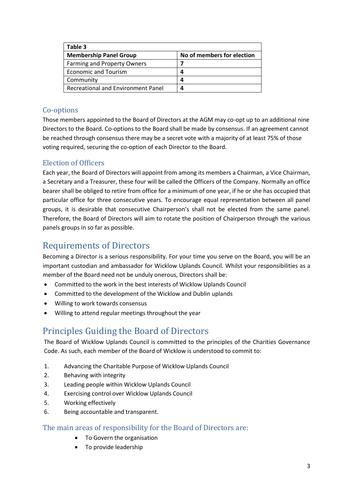| Table 3                            |                            |
|------------------------------------|----------------------------|
| <b>Membership Panel Group</b>      | No of members for election |
| <b>Farming and Property Owners</b> |                            |
| <b>Economic and Tourism</b>        | 4                          |
| Community                          | 4                          |
| Recreational and Environment Panel | 4                          |

#### <span id="page-3-0"></span>Co-options

Those members appointed to the Board of Directors at the AGM may co-opt up to an additional nine Directors to the Board. Co-options to the Board shall be made by consensus. If an agreement cannot be reached through consensus there may be a secret vote with a majority of at least 75% of those voting required, securing the co-option of each Director to the Board.

#### <span id="page-3-1"></span>Election of Officers

Each year, the Board of Directors will appoint from among its members a Chairman, a Vice Chairman, a Secretary and a Treasurer, these four will be called the Officers of the Company. Normally an office bearer shall be obliged to retire from office for a minimum of one year, if he or she has occupied that particular office for three consecutive years. To encourage equal representation between all panel groups, it is desirable that consecutive Chairperson's shall not be elected from the same panel. Therefore, the Board of Directors will aim to rotate the position of Chairperson through the various panels groups in so far as possible.

## <span id="page-3-2"></span>Requirements of Directors

Becoming a Director is a serious responsibility. For your time you serve on the Board, you will be an important custodian and ambassador for Wicklow Uplands Council. Whilst your responsibilities as a member of the Board need not be unduly onerous, Directors shall be:

- Committed to the work in the best interests of Wicklow Uplands Council
- Committed to the development of the Wicklow and Dublin uplands
- Willing to work towards consensus
- Willing to attend regular meetings throughout the year

## Principles Guiding the Board of Directors

The Board of Wicklow Uplands Council is committed to the principles of the Charities Governance Code. As such, each member of the Board of Wicklow is understood to commit to:

- 1. Advancing the Charitable Purpose of Wicklow Uplands Council
- 2. Behaving with integrity
- 3. Leading people within Wicklow Uplands Council
- 4. Exercising control over Wicklow Uplands Council
- 5. Working effectively
- 6. Being accountable and transparent.

#### <span id="page-3-3"></span>The main areas of responsibility for the Board of Directors are:

- To Govern the organisation
- To provide leadership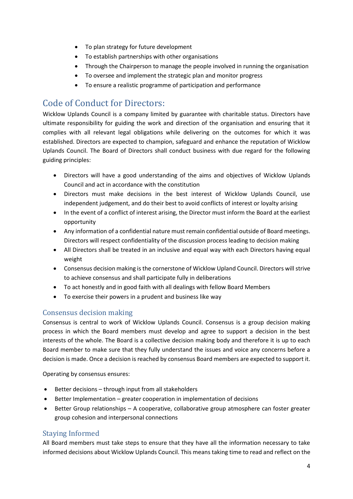- To plan strategy for future development
- To establish partnerships with other organisations
- Through the Chairperson to manage the people involved in running the organisation
- To oversee and implement the strategic plan and monitor progress
- To ensure a realistic programme of participation and performance

## <span id="page-4-0"></span>Code of Conduct for Directors:

Wicklow Uplands Council is a company limited by guarantee with charitable status. Directors have ultimate responsibility for guiding the work and direction of the organisation and ensuring that it complies with all relevant legal obligations while delivering on the outcomes for which it was established. Directors are expected to champion, safeguard and enhance the reputation of Wicklow Uplands Council. The Board of Directors shall conduct business with due regard for the following guiding principles:

- Directors will have a good understanding of the aims and objectives of Wicklow Uplands Council and act in accordance with the constitution
- Directors must make decisions in the best interest of Wicklow Uplands Council, use independent judgement, and do their best to avoid conflicts of interest or loyalty arising
- In the event of a conflict of interest arising, the Director must inform the Board at the earliest opportunity
- Any information of a confidential nature must remain confidential outside of Board meetings. Directors will respect confidentiality of the discussion process leading to decision making
- All Directors shall be treated in an inclusive and equal way with each Directors having equal weight
- Consensus decision making is the cornerstone of Wicklow Upland Council. Directors will strive to achieve consensus and shall participate fully in deliberations
- To act honestly and in good faith with all dealings with fellow Board Members
- To exercise their powers in a prudent and business like way

#### <span id="page-4-1"></span>Consensus decision making

Consensus is central to work of Wicklow Uplands Council. Consensus is a group decision making process in which the Board members must develop and agree to support a decision in the best interests of the whole. The Board is a collective decision making body and therefore it is up to each Board member to make sure that they fully understand the issues and voice any concerns before a decision is made. Once a decision is reached by consensus Board members are expected to support it.

Operating by consensus ensures:

- Better decisions through input from all stakeholders
- Better Implementation greater cooperation in implementation of decisions
- Better Group relationships A cooperative, collaborative group atmosphere can foster greater group cohesion and interpersonal connections

#### <span id="page-4-2"></span>Staying Informed

All Board members must take steps to ensure that they have all the information necessary to take informed decisions about Wicklow Uplands Council. This means taking time to read and reflect on the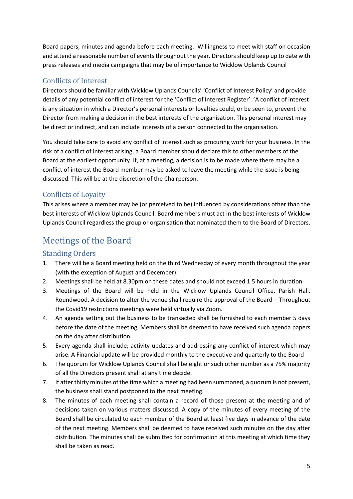Board papers, minutes and agenda before each meeting. Willingness to meet with staff on occasion and attend a reasonable number of events throughout the year. Directors should keep up to date with press releases and media campaigns that may be of importance to Wicklow Uplands Council

#### <span id="page-5-0"></span>Conflicts of Interest

Directors should be familiar with Wicklow Uplands Councils' 'Conflict of Interest Policy' and provide details of any potential conflict of interest for the 'Conflict of Interest Register'. 'A conflict of interest is any situation in which a Director's personal interests or loyalties could, or be seen to, prevent the Director from making a decision in the best interests of the organisation. This personal interest may be direct or indirect, and can include interests of a person connected to the organisation.

You should take care to avoid any conflict of interest such as procuring work for your business. In the risk of a conflict of interest arising, a Board member should declare this to other members of the Board at the earliest opportunity. If, at a meeting, a decision is to be made where there may be a conflict of interest the Board member may be asked to leave the meeting while the issue is being discussed. This will be at the discretion of the Chairperson.

#### <span id="page-5-1"></span>Conflicts of Loyalty

This arises where a member may be (or perceived to be) influenced by considerations other than the best interests of Wicklow Uplands Council. Board members must act in the best interests of Wicklow Uplands Council regardless the group or organisation that nominated them to the Board of Directors.

## <span id="page-5-2"></span>Meetings of the Board

#### <span id="page-5-3"></span>Standing Orders

- 1. There will be a Board meeting held on the third Wednesday of every month throughout the year (with the exception of August and December).
- 2. Meetings shall be held at 8.30pm on these dates and should not exceed 1.5 hours in duration
- 3. Meetings of the Board will be held in the Wicklow Uplands Council Office, Parish Hall, Roundwood. A decision to alter the venue shall require the approval of the Board – Throughout the Covid19 restrictions meetings were held virtually via Zoom.
- 4. An agenda setting out the business to be transacted shall be furnished to each member 5 days before the date of the meeting. Members shall be deemed to have received such agenda papers on the day after distribution.
- 5. Every agenda shall include; activity updates and addressing any conflict of interest which may arise. A Financial update will be provided monthly to the executive and quarterly to the Board
- 6. The quorum for Wicklow Uplands Council shall be eight or such other number as a 75% majority of all the Directors present shall at any time decide.
- 7. If after thirty minutes of the time which a meeting had been summoned, a quorum is not present, the business shall stand postponed to the next meeting.
- 8. The minutes of each meeting shall contain a record of those present at the meeting and of decisions taken on various matters discussed. A copy of the minutes of every meeting of the Board shall be circulated to each member of the Board at least five days in advance of the date of the next meeting. Members shall be deemed to have received such minutes on the day after distribution. The minutes shall be submitted for confirmation at this meeting at which time they shall be taken as read.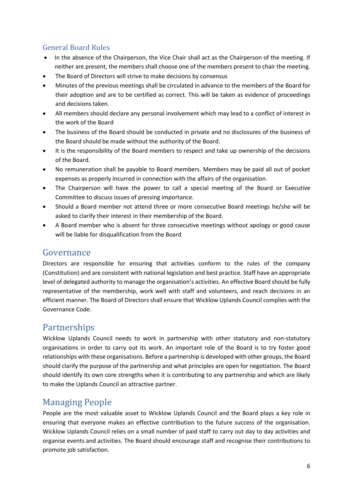#### <span id="page-6-0"></span>General Board Rules

- In the absence of the Chairperson, the Vice Chair shall act as the Chairperson of the meeting. If neither are present, the members shall choose one of the members present to chair the meeting.
- The Board of Directors will strive to make decisions by consensus
- Minutes of the previous meetings shall be circulated in advance to the members of the Board for their adoption and are to be certified as correct. This will be taken as evidence of proceedings and decisions taken.
- All members should declare any personal involvement which may lead to a conflict of interest in the work of the Board
- The business of the Board should be conducted in private and no disclosures of the business of the Board should be made without the authority of the Board.
- It is the responsibility of the Board members to respect and take up ownership of the decisions of the Board.
- No remuneration shall be payable to Board members. Members may be paid all out of pocket expenses as properly incurred in connection with the affairs of the organisation.
- The Chairperson will have the power to call a special meeting of the Board or Executive Committee to discuss issues of pressing importance.
- Should a Board member not attend three or more consecutive Board meetings he/she will be asked to clarify their interest in their membership of the Board.
- A Board member who is absent for three consecutive meetings without apology or good cause will be liable for disqualification from the Board

## <span id="page-6-1"></span>Governance

Directors are responsible for ensuring that activities conform to the rules of the company (Constitution) and are consistent with national legislation and best practice. Staff have an appropriate level of delegated authority to manage the organisation's activities. An effective Board should be fully representative of the membership, work well with staff and volunteers, and reach decisions in an efficient manner. The Board of Directors shall ensure that Wicklow Uplands Council complies with the Governance Code.

## <span id="page-6-2"></span>Partnerships

Wicklow Uplands Council needs to work in partnership with other statutory and non-statutory organisations in order to carry out its work. An important role of the Board is to try foster good relationships with these organisations. Before a partnership is developed with other groups, the Board should clarify the purpose of the partnership and what principles are open for negotiation. The Board should identify its own core strengths when it is contributing to any partnership and which are likely to make the Uplands Council an attractive partner.

## <span id="page-6-3"></span>Managing People

People are the most valuable asset to Wicklow Uplands Council and the Board plays a key role in ensuring that everyone makes an effective contribution to the future success of the organisation. Wicklow Uplands Council relies on a small number of paid staff to carry out day to day activities and organise events and activities. The Board should encourage staff and recognise their contributions to promote job satisfaction.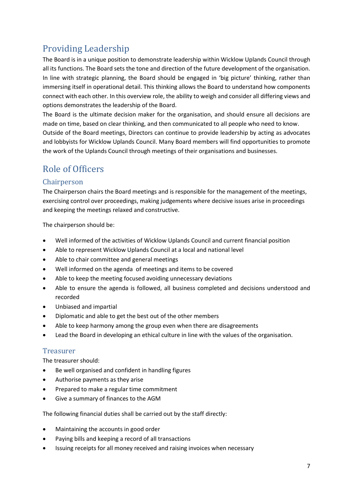## <span id="page-7-0"></span>Providing Leadership

The Board is in a unique position to demonstrate leadership within Wicklow Uplands Council through all its functions. The Board sets the tone and direction of the future development of the organisation. In line with strategic planning, the Board should be engaged in 'big picture' thinking, rather than immersing itself in operational detail. This thinking allows the Board to understand how components connect with each other. In this overview role, the ability to weigh and consider all differing views and options demonstrates the leadership of the Board.

The Board is the ultimate decision maker for the organisation, and should ensure all decisions are made on time, based on clear thinking, and then communicated to all people who need to know. Outside of the Board meetings, Directors can continue to provide leadership by acting as advocates and lobbyists for Wicklow Uplands Council. Many Board members will find opportunities to promote the work of the Uplands Council through meetings of their organisations and businesses.

## <span id="page-7-1"></span>Role of Officers

#### <span id="page-7-2"></span>Chairperson

The Chairperson chairs the Board meetings and is responsible for the management of the meetings, exercising control over proceedings, making judgements where decisive issues arise in proceedings and keeping the meetings relaxed and constructive.

The chairperson should be:

- Well informed of the activities of Wicklow Uplands Council and current financial position
- Able to represent Wicklow Uplands Council at a local and national level
- Able to chair committee and general meetings
- Well informed on the agenda of meetings and items to be covered
- Able to keep the meeting focused avoiding unnecessary deviations
- Able to ensure the agenda is followed, all business completed and decisions understood and recorded
- Unbiased and impartial
- Diplomatic and able to get the best out of the other members
- Able to keep harmony among the group even when there are disagreements
- Lead the Board in developing an ethical culture in line with the values of the organisation.

#### <span id="page-7-3"></span>Treasurer

The treasurer should:

- Be well organised and confident in handling figures
- Authorise payments as they arise
- Prepared to make a regular time commitment
- Give a summary of finances to the AGM

The following financial duties shall be carried out by the staff directly:

- Maintaining the accounts in good order
- Paying bills and keeping a record of all transactions
- Issuing receipts for all money received and raising invoices when necessary